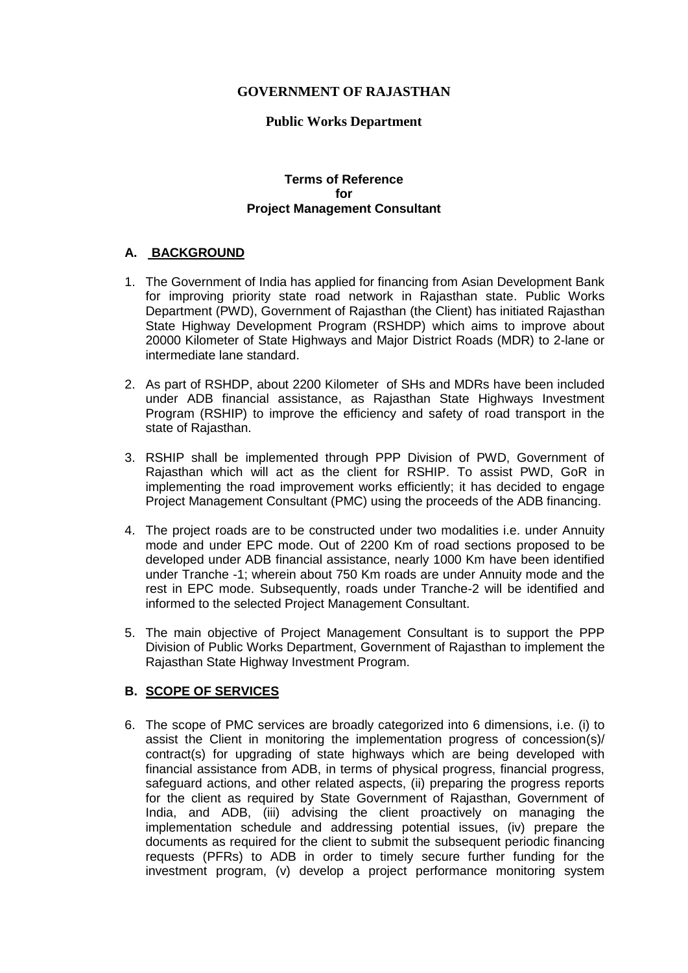## **GOVERNMENT OF RAJASTHAN**

### **Public Works Department**

#### **Terms of Reference for Project Management Consultant**

### **A. BACKGROUND**

- 1. The Government of India has applied for financing from Asian Development Bank for improving priority state road network in Rajasthan state. Public Works Department (PWD), Government of Rajasthan (the Client) has initiated Rajasthan State Highway Development Program (RSHDP) which aims to improve about 20000 Kilometer of State Highways and Major District Roads (MDR) to 2-lane or intermediate lane standard.
- 2. As part of RSHDP, about 2200 Kilometer of SHs and MDRs have been included under ADB financial assistance, as Rajasthan State Highways Investment Program (RSHIP) to improve the efficiency and safety of road transport in the state of Rajasthan.
- 3. RSHIP shall be implemented through PPP Division of PWD, Government of Rajasthan which will act as the client for RSHIP. To assist PWD, GoR in implementing the road improvement works efficiently; it has decided to engage Project Management Consultant (PMC) using the proceeds of the ADB financing.
- 4. The project roads are to be constructed under two modalities i.e. under Annuity mode and under EPC mode. Out of 2200 Km of road sections proposed to be developed under ADB financial assistance, nearly 1000 Km have been identified under Tranche -1; wherein about 750 Km roads are under Annuity mode and the rest in EPC mode. Subsequently, roads under Tranche-2 will be identified and informed to the selected Project Management Consultant.
- 5. The main objective of Project Management Consultant is to support the PPP Division of Public Works Department, Government of Rajasthan to implement the Rajasthan State Highway Investment Program.

### **B. SCOPE OF SERVICES**

6. The scope of PMC services are broadly categorized into 6 dimensions, i.e. (i) to assist the Client in monitoring the implementation progress of concession(s)/ contract(s) for upgrading of state highways which are being developed with financial assistance from ADB, in terms of physical progress, financial progress, safeguard actions, and other related aspects, (ii) preparing the progress reports for the client as required by State Government of Rajasthan, Government of India, and ADB, (iii) advising the client proactively on managing the implementation schedule and addressing potential issues, (iv) prepare the documents as required for the client to submit the subsequent periodic financing requests (PFRs) to ADB in order to timely secure further funding for the investment program, (v) develop a project performance monitoring system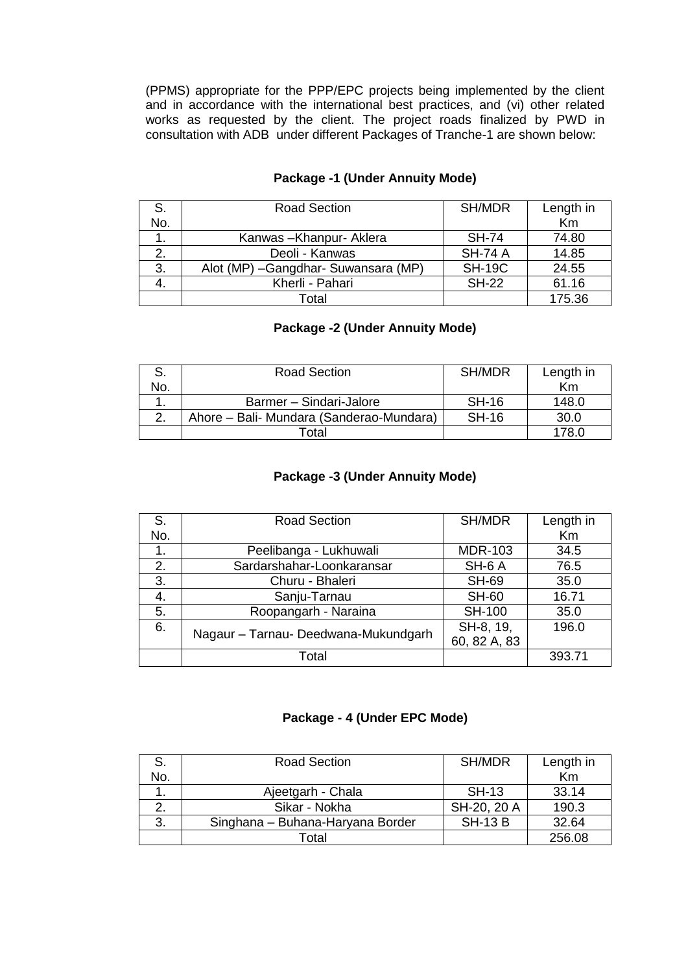(PPMS) appropriate for the PPP/EPC projects being implemented by the client and in accordance with the international best practices, and (vi) other related works as requested by the client. The project roads finalized by PWD in consultation with ADB under different Packages of Tranche-1 are shown below:

| S.  | <b>Road Section</b>                  | SH/MDR         | Length in |
|-----|--------------------------------------|----------------|-----------|
| No. |                                      |                | Km        |
|     | Kanwas-Khanpur-Aklera                | <b>SH-74</b>   | 74.80     |
| 2.  | Deoli - Kanwas                       | <b>SH-74 A</b> | 14.85     |
| 3.  | Alot (MP) - Gangdhar- Suwansara (MP) | <b>SH-19C</b>  | 24.55     |
| 4.  | Kherli - Pahari                      | <b>SH-22</b>   | 61.16     |
|     | Total                                |                | 175.36    |

## **Package -1 (Under Annuity Mode)**

# **Package -2 (Under Annuity Mode)**

|     | <b>Road Section</b>                      | SH/MDR       | Length in |
|-----|------------------------------------------|--------------|-----------|
| No. |                                          |              | Km        |
|     | Barmer - Sindari-Jalore                  | <b>SH-16</b> | 148.0     |
|     | Ahore – Bali- Mundara (Sanderao-Mundara) | <b>SH-16</b> | 30.0      |
|     | Гоtal                                    |              | 178.0     |

## **Package -3 (Under Annuity Mode)**

| S.  | <b>Road Section</b>                  | SH/MDR         | Length in |
|-----|--------------------------------------|----------------|-----------|
| No. |                                      |                | Km        |
| 1.  | Peelibanga - Lukhuwali               | <b>MDR-103</b> | 34.5      |
| 2.  | Sardarshahar-Loonkaransar            | SH-6A          | 76.5      |
| 3.  | Churu - Bhaleri                      | <b>SH-69</b>   | 35.0      |
| 4.  | Sanju-Tarnau                         | <b>SH-60</b>   | 16.71     |
| 5.  | Roopangarh - Naraina                 | <b>SH-100</b>  | 35.0      |
| 6.  | Nagaur - Tarnau- Deedwana-Mukundgarh | SH-8, 19,      | 196.0     |
|     |                                      | 60, 82 A, 83   |           |
|     | Total                                |                | 393.71    |

### **Package - 4 (Under EPC Mode)**

| S.  | <b>Road Section</b>              | SH/MDR         | Length in |
|-----|----------------------------------|----------------|-----------|
| No. |                                  |                | Km        |
|     | Ajeetgarh - Chala                | <b>SH-13</b>   | 33.14     |
|     | Sikar - Nokha                    | SH-20, 20 A    | 190.3     |
| 3.  | Singhana - Buhana-Haryana Border | <b>SH-13 B</b> | 32.64     |
|     | Гоtal                            |                | 256.08    |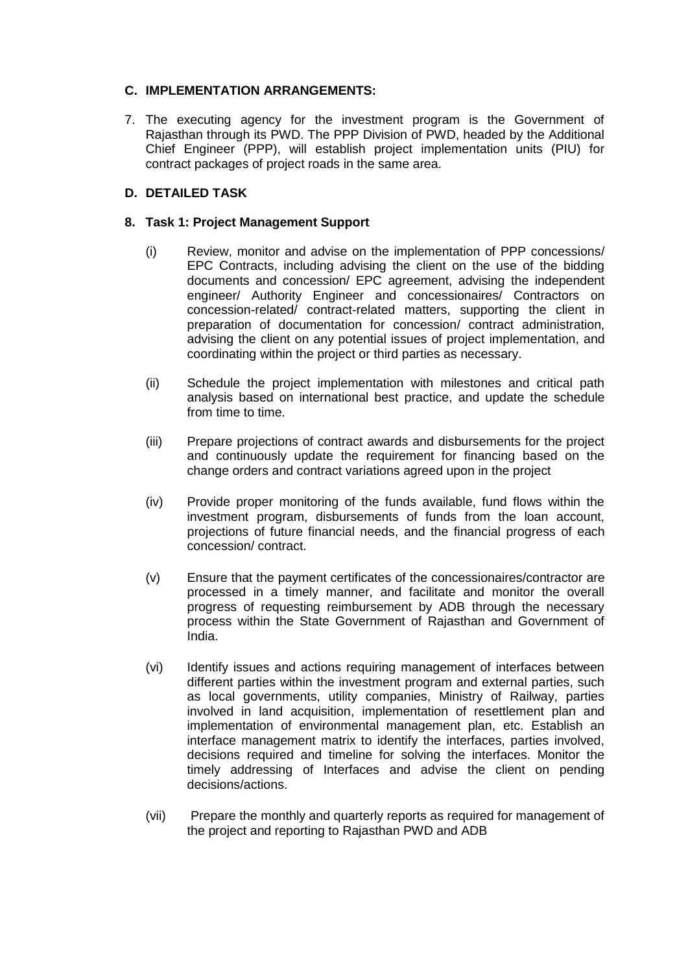## **C. IMPLEMENTATION ARRANGEMENTS:**

7. The executing agency for the investment program is the Government of Rajasthan through its PWD. The PPP Division of PWD, headed by the Additional Chief Engineer (PPP), will establish project implementation units (PIU) for contract packages of project roads in the same area.

## **D. DETAILED TASK**

### **8. Task 1: Project Management Support**

- (i) Review, monitor and advise on the implementation of PPP concessions/ EPC Contracts, including advising the client on the use of the bidding documents and concession/ EPC agreement, advising the independent engineer/ Authority Engineer and concessionaires/ Contractors on concession-related/ contract-related matters, supporting the client in preparation of documentation for concession/ contract administration, advising the client on any potential issues of project implementation, and coordinating within the project or third parties as necessary.
- (ii) Schedule the project implementation with milestones and critical path analysis based on international best practice, and update the schedule from time to time.
- (iii) Prepare projections of contract awards and disbursements for the project and continuously update the requirement for financing based on the change orders and contract variations agreed upon in the project
- (iv) Provide proper monitoring of the funds available, fund flows within the investment program, disbursements of funds from the loan account, projections of future financial needs, and the financial progress of each concession/ contract.
- (v) Ensure that the payment certificates of the concessionaires/contractor are processed in a timely manner, and facilitate and monitor the overall progress of requesting reimbursement by ADB through the necessary process within the State Government of Rajasthan and Government of India.
- (vi) Identify issues and actions requiring management of interfaces between different parties within the investment program and external parties, such as local governments, utility companies, Ministry of Railway, parties involved in land acquisition, implementation of resettlement plan and implementation of environmental management plan, etc. Establish an interface management matrix to identify the interfaces, parties involved, decisions required and timeline for solving the interfaces. Monitor the timely addressing of Interfaces and advise the client on pending decisions/actions.
- (vii) Prepare the monthly and quarterly reports as required for management of the project and reporting to Rajasthan PWD and ADB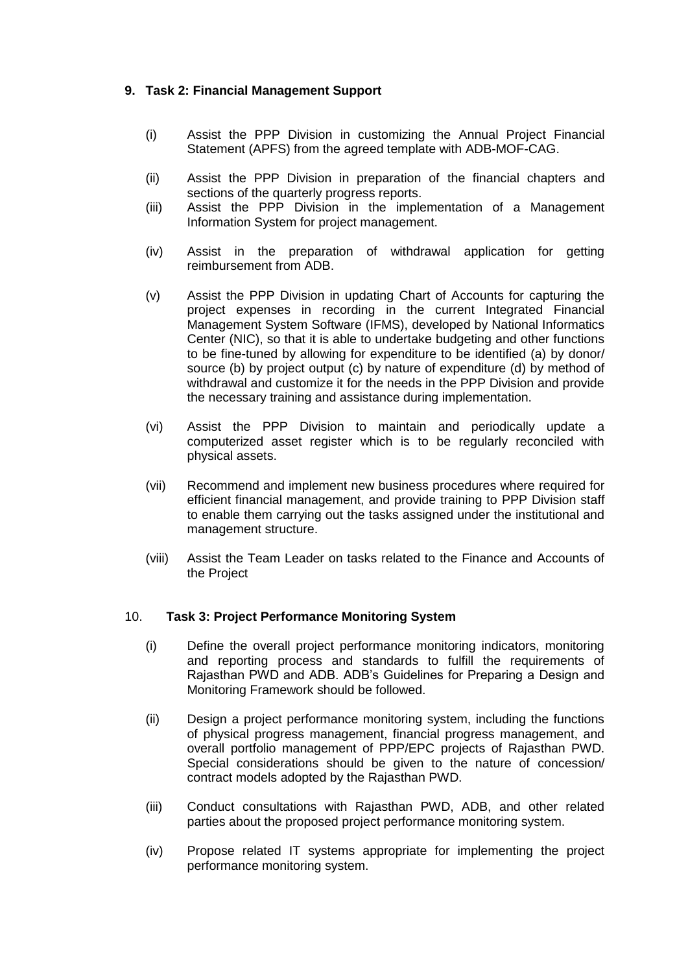## **9. Task 2: Financial Management Support**

- (i) Assist the PPP Division in customizing the Annual Project Financial Statement (APFS) from the agreed template with ADB-MOF-CAG.
- (ii) Assist the PPP Division in preparation of the financial chapters and sections of the quarterly progress reports.
- (iii) Assist the PPP Division in the implementation of a Management Information System for project management.
- (iv) Assist in the preparation of withdrawal application for getting reimbursement from ADB.
- (v) Assist the PPP Division in updating Chart of Accounts for capturing the project expenses in recording in the current Integrated Financial Management System Software (IFMS), developed by National Informatics Center (NIC), so that it is able to undertake budgeting and other functions to be fine-tuned by allowing for expenditure to be identified (a) by donor/ source (b) by project output (c) by nature of expenditure (d) by method of withdrawal and customize it for the needs in the PPP Division and provide the necessary training and assistance during implementation.
- (vi) Assist the PPP Division to maintain and periodically update a computerized asset register which is to be regularly reconciled with physical assets.
- (vii) Recommend and implement new business procedures where required for efficient financial management, and provide training to PPP Division staff to enable them carrying out the tasks assigned under the institutional and management structure.
- (viii) Assist the Team Leader on tasks related to the Finance and Accounts of the Project

### 10. **Task 3: Project Performance Monitoring System**

- (i) Define the overall project performance monitoring indicators, monitoring and reporting process and standards to fulfill the requirements of Rajasthan PWD and ADB. ADB's Guidelines for Preparing a Design and Monitoring Framework should be followed.
- (ii) Design a project performance monitoring system, including the functions of physical progress management, financial progress management, and overall portfolio management of PPP/EPC projects of Rajasthan PWD. Special considerations should be given to the nature of concession/ contract models adopted by the Rajasthan PWD.
- (iii) Conduct consultations with Rajasthan PWD, ADB, and other related parties about the proposed project performance monitoring system.
- (iv) Propose related IT systems appropriate for implementing the project performance monitoring system.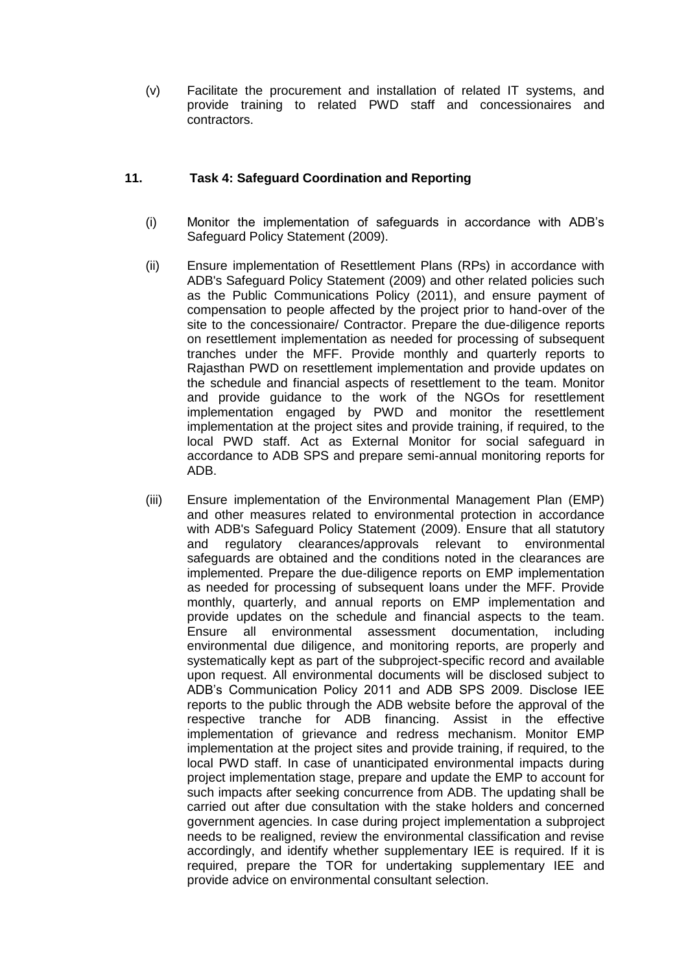(v) Facilitate the procurement and installation of related IT systems, and provide training to related PWD staff and concessionaires and contractors.

### **11. Task 4: Safeguard Coordination and Reporting**

- (i) Monitor the implementation of safeguards in accordance with ADB's Safeguard Policy Statement (2009).
- (ii) Ensure implementation of Resettlement Plans (RPs) in accordance with ADB's Safeguard Policy Statement (2009) and other related policies such as the Public Communications Policy (2011), and ensure payment of compensation to people affected by the project prior to hand-over of the site to the concessionaire/ Contractor. Prepare the due-diligence reports on resettlement implementation as needed for processing of subsequent tranches under the MFF. Provide monthly and quarterly reports to Rajasthan PWD on resettlement implementation and provide updates on the schedule and financial aspects of resettlement to the team. Monitor and provide guidance to the work of the NGOs for resettlement implementation engaged by PWD and monitor the resettlement implementation at the project sites and provide training, if required, to the local PWD staff. Act as External Monitor for social safeguard in accordance to ADB SPS and prepare semi-annual monitoring reports for ADB.
- (iii) Ensure implementation of the Environmental Management Plan (EMP) and other measures related to environmental protection in accordance with ADB's Safeguard Policy Statement (2009). Ensure that all statutory and regulatory clearances/approvals relevant to environmental safeguards are obtained and the conditions noted in the clearances are implemented. Prepare the due-diligence reports on EMP implementation as needed for processing of subsequent loans under the MFF. Provide monthly, quarterly, and annual reports on EMP implementation and provide updates on the schedule and financial aspects to the team. Ensure all environmental assessment documentation, including environmental due diligence, and monitoring reports, are properly and systematically kept as part of the subproject-specific record and available upon request. All environmental documents will be disclosed subject to ADB's Communication Policy 2011 and ADB SPS 2009. Disclose IEE reports to the public through the ADB website before the approval of the respective tranche for ADB financing. Assist in the effective implementation of grievance and redress mechanism. Monitor EMP implementation at the project sites and provide training, if required, to the local PWD staff. In case of unanticipated environmental impacts during project implementation stage, prepare and update the EMP to account for such impacts after seeking concurrence from ADB. The updating shall be carried out after due consultation with the stake holders and concerned government agencies. In case during project implementation a subproject needs to be realigned, review the environmental classification and revise accordingly, and identify whether supplementary IEE is required. If it is required, prepare the TOR for undertaking supplementary IEE and provide advice on environmental consultant selection.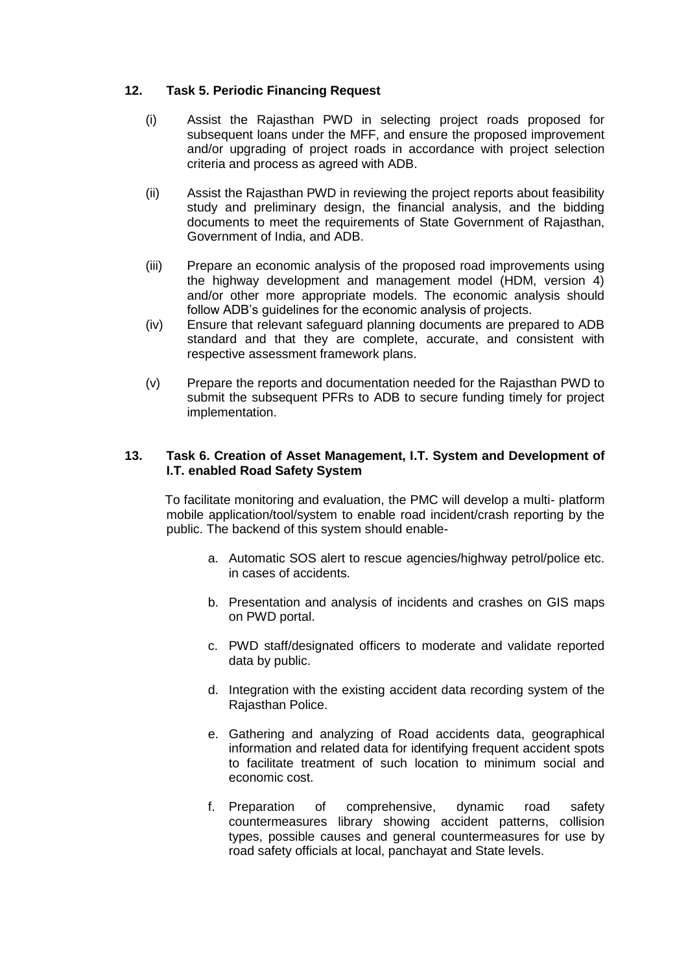## **12. Task 5. Periodic Financing Request**

- (i) Assist the Rajasthan PWD in selecting project roads proposed for subsequent loans under the MFF, and ensure the proposed improvement and/or upgrading of project roads in accordance with project selection criteria and process as agreed with ADB.
- (ii) Assist the Rajasthan PWD in reviewing the project reports about feasibility study and preliminary design, the financial analysis, and the bidding documents to meet the requirements of State Government of Rajasthan, Government of India, and ADB.
- (iii) Prepare an economic analysis of the proposed road improvements using the highway development and management model (HDM, version 4) and/or other more appropriate models. The economic analysis should follow ADB's guidelines for the economic analysis of projects.
- (iv) Ensure that relevant safeguard planning documents are prepared to ADB standard and that they are complete, accurate, and consistent with respective assessment framework plans.
- (v) Prepare the reports and documentation needed for the Rajasthan PWD to submit the subsequent PFRs to ADB to secure funding timely for project implementation.

### **13. Task 6. Creation of Asset Management, I.T. System and Development of I.T. enabled Road Safety System**

To facilitate monitoring and evaluation, the PMC will develop a multi- platform mobile application/tool/system to enable road incident/crash reporting by the public. The backend of this system should enable-

- a. Automatic SOS alert to rescue agencies/highway petrol/police etc. in cases of accidents.
- b. Presentation and analysis of incidents and crashes on GIS maps on PWD portal.
- c. PWD staff/designated officers to moderate and validate reported data by public.
- d. Integration with the existing accident data recording system of the Rajasthan Police.
- e. Gathering and analyzing of Road accidents data, geographical information and related data for identifying frequent accident spots to facilitate treatment of such location to minimum social and economic cost.
- f. Preparation of comprehensive, dynamic road safety countermeasures library showing accident patterns, collision types, possible causes and general countermeasures for use by road safety officials at local, panchayat and State levels.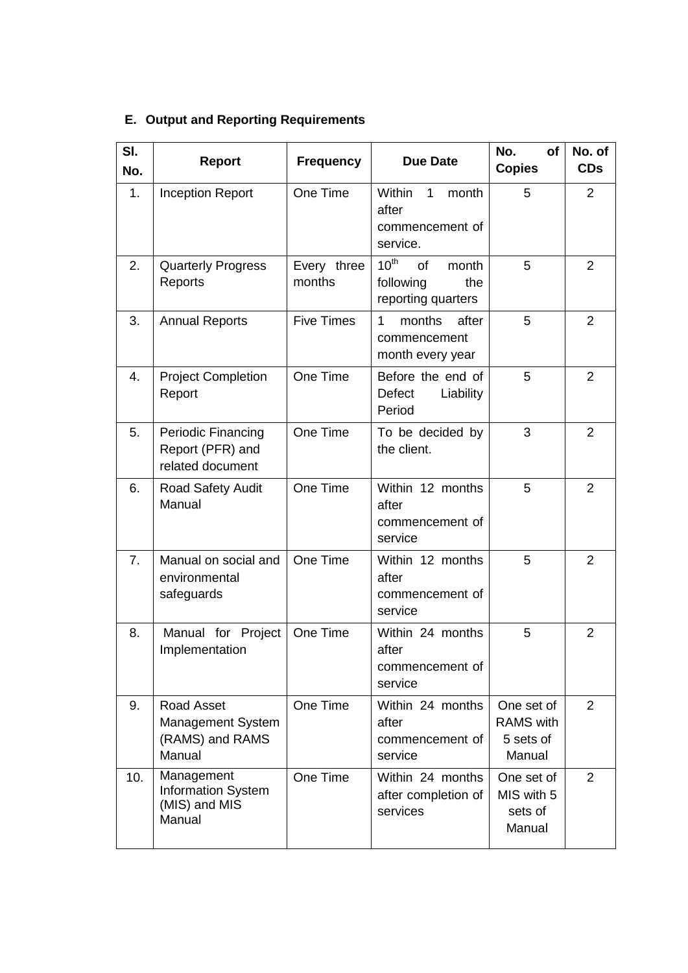|  | <b>E. Output and Reporting Requirements</b> |
|--|---------------------------------------------|
|  |                                             |

| SI.<br>No.     | <b>Report</b>                                                       | <b>Frequency</b>      | <b>Due Date</b>                                                                  | No.<br>of<br><b>Copies</b>                            | No. of<br><b>CDs</b> |
|----------------|---------------------------------------------------------------------|-----------------------|----------------------------------------------------------------------------------|-------------------------------------------------------|----------------------|
| 1.             | <b>Inception Report</b>                                             | One Time              | Within<br>$\mathbf{1}$<br>month<br>after<br>commencement of<br>service.          | 5                                                     | 2                    |
| 2.             | <b>Quarterly Progress</b><br>Reports                                | Every three<br>months | $10^{\text{th}}$<br><b>of</b><br>month<br>following<br>the<br>reporting quarters | 5                                                     | $\overline{2}$       |
| 3.             | <b>Annual Reports</b>                                               | <b>Five Times</b>     | 1<br>months<br>after<br>commencement<br>month every year                         | 5                                                     | $\overline{2}$       |
| 4.             | <b>Project Completion</b><br>Report                                 | One Time              | Before the end of<br>Defect<br>Liability<br>Period                               | 5                                                     | $\overline{2}$       |
| 5.             | Periodic Financing<br>Report (PFR) and<br>related document          | One Time              | To be decided by<br>the client.                                                  | 3                                                     | $\overline{2}$       |
| 6.             | Road Safety Audit<br>Manual                                         | One Time              | Within 12 months<br>after<br>commencement of<br>service                          | 5                                                     | $\overline{2}$       |
| 7 <sub>1</sub> | Manual on social and<br>environmental<br>safeguards                 | One Time              | Within 12 months<br>after<br>commencement of<br>service                          | 5                                                     | 2                    |
| 8.             | Manual for Project<br>Implementation                                | One Time              | Within 24 months<br>after<br>commencement of<br>service                          | 5                                                     | $\overline{2}$       |
| 9.             | Road Asset<br><b>Management System</b><br>(RAMS) and RAMS<br>Manual | One Time              | Within 24 months<br>after<br>commencement of<br>service                          | One set of<br><b>RAMS</b> with<br>5 sets of<br>Manual | 2                    |
| 10.            | Management<br><b>Information System</b><br>(MIS) and MIS<br>Manual  | One Time              | Within 24 months<br>after completion of<br>services                              | One set of<br>MIS with 5<br>sets of<br>Manual         | 2                    |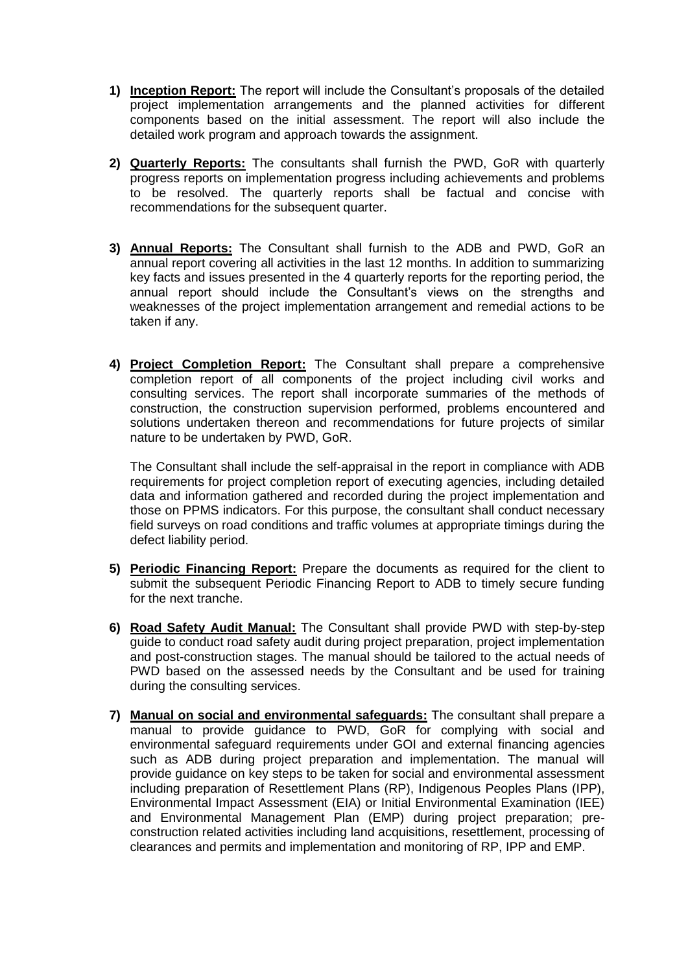- **1) Inception Report:** The report will include the Consultant's proposals of the detailed project implementation arrangements and the planned activities for different components based on the initial assessment. The report will also include the detailed work program and approach towards the assignment.
- **2) Quarterly Reports:** The consultants shall furnish the PWD, GoR with quarterly progress reports on implementation progress including achievements and problems to be resolved. The quarterly reports shall be factual and concise with recommendations for the subsequent quarter.
- **3) Annual Reports:** The Consultant shall furnish to the ADB and PWD, GoR an annual report covering all activities in the last 12 months. In addition to summarizing key facts and issues presented in the 4 quarterly reports for the reporting period, the annual report should include the Consultant's views on the strengths and weaknesses of the project implementation arrangement and remedial actions to be taken if any.
- **4) Project Completion Report:** The Consultant shall prepare a comprehensive completion report of all components of the project including civil works and consulting services. The report shall incorporate summaries of the methods of construction, the construction supervision performed, problems encountered and solutions undertaken thereon and recommendations for future projects of similar nature to be undertaken by PWD, GoR.

The Consultant shall include the self-appraisal in the report in compliance with ADB requirements for project completion report of executing agencies, including detailed data and information gathered and recorded during the project implementation and those on PPMS indicators. For this purpose, the consultant shall conduct necessary field surveys on road conditions and traffic volumes at appropriate timings during the defect liability period.

- **5) Periodic Financing Report:** Prepare the documents as required for the client to submit the subsequent Periodic Financing Report to ADB to timely secure funding for the next tranche.
- **6) Road Safety Audit Manual:** The Consultant shall provide PWD with step-by-step guide to conduct road safety audit during project preparation, project implementation and post-construction stages. The manual should be tailored to the actual needs of PWD based on the assessed needs by the Consultant and be used for training during the consulting services.
- **7) Manual on social and environmental safeguards:** The consultant shall prepare a manual to provide guidance to PWD, GoR for complying with social and environmental safeguard requirements under GOI and external financing agencies such as ADB during project preparation and implementation. The manual will provide guidance on key steps to be taken for social and environmental assessment including preparation of Resettlement Plans (RP), Indigenous Peoples Plans (IPP), Environmental Impact Assessment (EIA) or Initial Environmental Examination (IEE) and Environmental Management Plan (EMP) during project preparation; preconstruction related activities including land acquisitions, resettlement, processing of clearances and permits and implementation and monitoring of RP, IPP and EMP.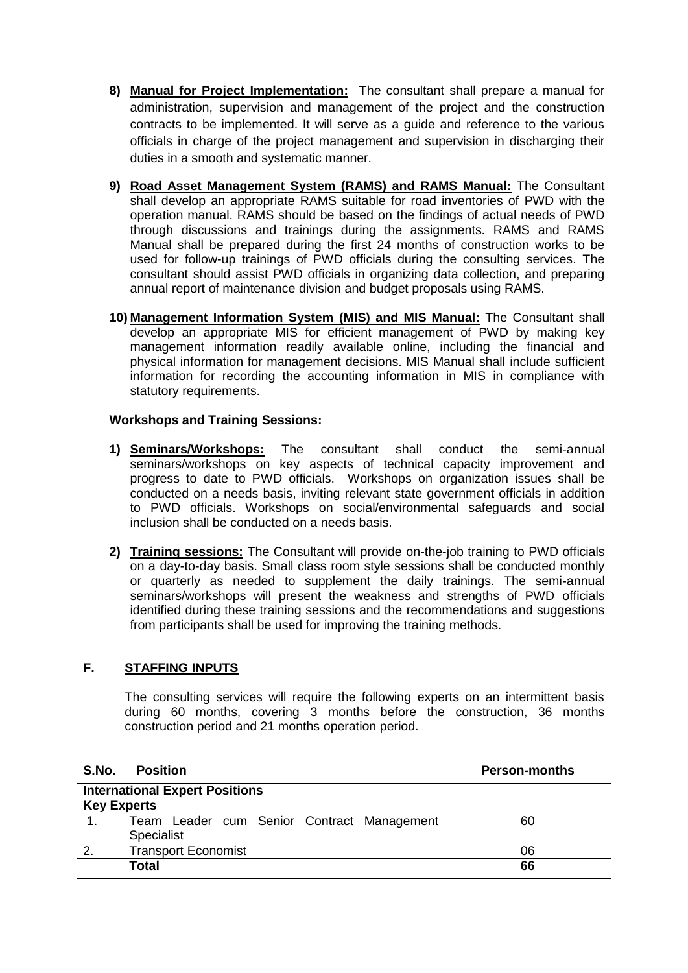- **8) Manual for Project Implementation:** The consultant shall prepare a manual for administration, supervision and management of the project and the construction contracts to be implemented. It will serve as a guide and reference to the various officials in charge of the project management and supervision in discharging their duties in a smooth and systematic manner.
- **9) Road Asset Management System (RAMS) and RAMS Manual:** The Consultant shall develop an appropriate RAMS suitable for road inventories of PWD with the operation manual. RAMS should be based on the findings of actual needs of PWD through discussions and trainings during the assignments. RAMS and RAMS Manual shall be prepared during the first 24 months of construction works to be used for follow-up trainings of PWD officials during the consulting services. The consultant should assist PWD officials in organizing data collection, and preparing annual report of maintenance division and budget proposals using RAMS.
- **10) Management Information System (MIS) and MIS Manual:** The Consultant shall develop an appropriate MIS for efficient management of PWD by making key management information readily available online, including the financial and physical information for management decisions. MIS Manual shall include sufficient information for recording the accounting information in MIS in compliance with statutory requirements.

## **Workshops and Training Sessions:**

- **1) Seminars/Workshops:** The consultant shall conduct the semi-annual seminars/workshops on key aspects of technical capacity improvement and progress to date to PWD officials. Workshops on organization issues shall be conducted on a needs basis, inviting relevant state government officials in addition to PWD officials. Workshops on social/environmental safeguards and social inclusion shall be conducted on a needs basis.
- **2) Training sessions:** The Consultant will provide on-the-job training to PWD officials on a day-to-day basis. Small class room style sessions shall be conducted monthly or quarterly as needed to supplement the daily trainings. The semi-annual seminars/workshops will present the weakness and strengths of PWD officials identified during these training sessions and the recommendations and suggestions from participants shall be used for improving the training methods.

# **F. STAFFING INPUTS**

The consulting services will require the following experts on an intermittent basis during 60 months, covering 3 months before the construction, 36 months construction period and 21 months operation period.

| S.No.                                                       | <b>Position</b>                                          | <b>Person-months</b> |  |
|-------------------------------------------------------------|----------------------------------------------------------|----------------------|--|
| <b>International Expert Positions</b><br><b>Key Experts</b> |                                                          |                      |  |
| 1 <sub>1</sub>                                              | Team Leader cum Senior Contract Management<br>Specialist | 60                   |  |
| 2.                                                          | <b>Transport Economist</b>                               | 06                   |  |
|                                                             | Total                                                    | 66                   |  |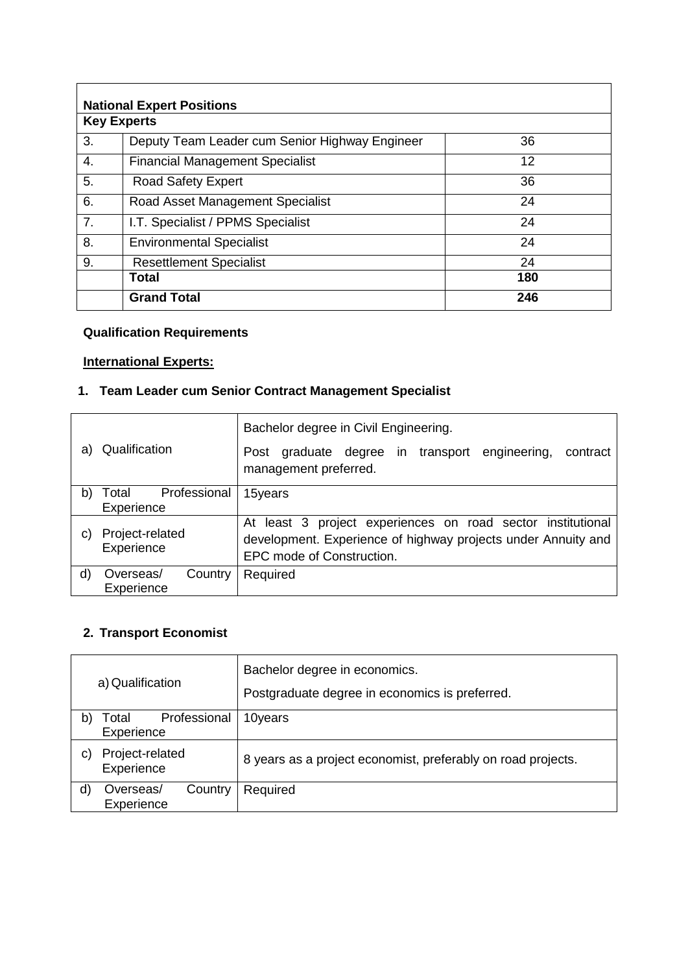|                    | <b>National Expert Positions</b>               |     |  |  |
|--------------------|------------------------------------------------|-----|--|--|
| <b>Key Experts</b> |                                                |     |  |  |
| 3.                 | Deputy Team Leader cum Senior Highway Engineer | 36  |  |  |
| 4.                 | <b>Financial Management Specialist</b>         | 12  |  |  |
| 5.                 | <b>Road Safety Expert</b>                      | 36  |  |  |
| 6.                 | Road Asset Management Specialist               | 24  |  |  |
| 7 <sub>1</sub>     | I.T. Specialist / PPMS Specialist              | 24  |  |  |
| 8.                 | <b>Environmental Specialist</b>                | 24  |  |  |
| 9.                 | <b>Resettlement Specialist</b>                 | 24  |  |  |
|                    | <b>Total</b><br>180                            |     |  |  |
|                    | <b>Grand Total</b>                             | 246 |  |  |

# **Qualification Requirements**

# **International Experts:**

# **1. Team Leader cum Senior Contract Management Specialist**

|    |                                     | Bachelor degree in Civil Engineering.                                                                                                                     |
|----|-------------------------------------|-----------------------------------------------------------------------------------------------------------------------------------------------------------|
| a) | Qualification                       | in transport<br>degree<br>engineering,<br>graduate<br>contract<br>Post<br>management preferred.                                                           |
| b) | Professional<br>Total<br>Experience | 15years                                                                                                                                                   |
| C) | Project-related<br>Experience       | At least 3 project experiences on road sector institutional<br>development. Experience of highway projects under Annuity and<br>EPC mode of Construction. |
| d) | Country<br>Overseas/<br>Experience  | Required                                                                                                                                                  |

# **2. Transport Economist**

| a) Qualification |                                     | Bachelor degree in economics.<br>Postgraduate degree in economics is preferred. |
|------------------|-------------------------------------|---------------------------------------------------------------------------------|
| b)               | Professional<br>Total<br>Experience | 10years                                                                         |
| C)               | Project-related<br>Experience       | 8 years as a project economist, preferably on road projects.                    |
| d)               | Overseas/<br>Country<br>Experience  | Required                                                                        |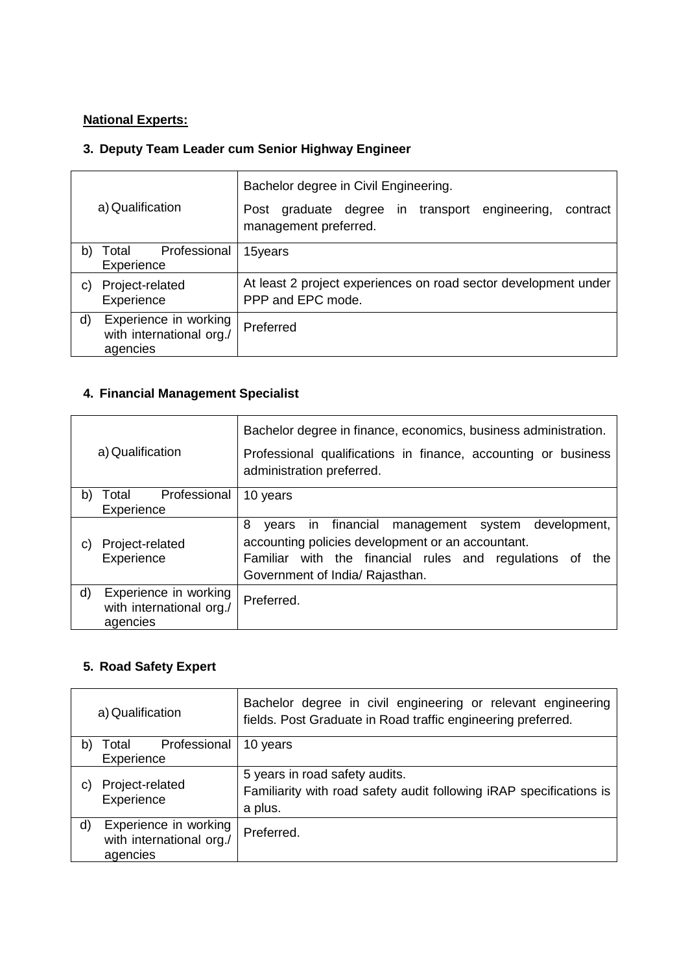# **National Experts:**

# **3. Deputy Team Leader cum Senior Highway Engineer**

| a) Qualification |                                                               | Bachelor degree in Civil Engineering.                                                     |
|------------------|---------------------------------------------------------------|-------------------------------------------------------------------------------------------|
|                  |                                                               | graduate degree in transport<br>engineering,<br>contract<br>Post<br>management preferred. |
| b)               | Professional<br>Total<br>Experience                           | 15years                                                                                   |
| C)               | Project-related<br>Experience                                 | At least 2 project experiences on road sector development under<br>PPP and EPC mode.      |
| d)               | Experience in working<br>with international org./<br>agencies | Preferred                                                                                 |

# **4. Financial Management Specialist**

| a) Qualification |                                                               | Bachelor degree in finance, economics, business administration.                                                                                                                                                           |
|------------------|---------------------------------------------------------------|---------------------------------------------------------------------------------------------------------------------------------------------------------------------------------------------------------------------------|
|                  |                                                               | Professional qualifications in finance, accounting or business<br>administration preferred.                                                                                                                               |
| b)               | Professional<br>Total<br>Experience                           | 10 years                                                                                                                                                                                                                  |
| C)               | Project-related<br>Experience                                 | 8<br>in financial<br>development,<br>management<br>system<br>vears<br>accounting policies development or an accountant.<br>Familiar with the financial rules and regulations of<br>the<br>Government of India/ Rajasthan. |
| d)               | Experience in working<br>with international org./<br>agencies | Preferred.                                                                                                                                                                                                                |

# **5. Road Safety Expert**

| a) Qualification |                                                               | Bachelor degree in civil engineering or relevant engineering<br>fields. Post Graduate in Road traffic engineering preferred. |
|------------------|---------------------------------------------------------------|------------------------------------------------------------------------------------------------------------------------------|
| b)               | Professional<br>Total                                         | 10 years                                                                                                                     |
|                  | Experience                                                    |                                                                                                                              |
| C)               | Project-related<br>Experience                                 | 5 years in road safety audits.<br>Familiarity with road safety audit following iRAP specifications is<br>a plus.             |
| d)               | Experience in working<br>with international org./<br>agencies | Preferred.                                                                                                                   |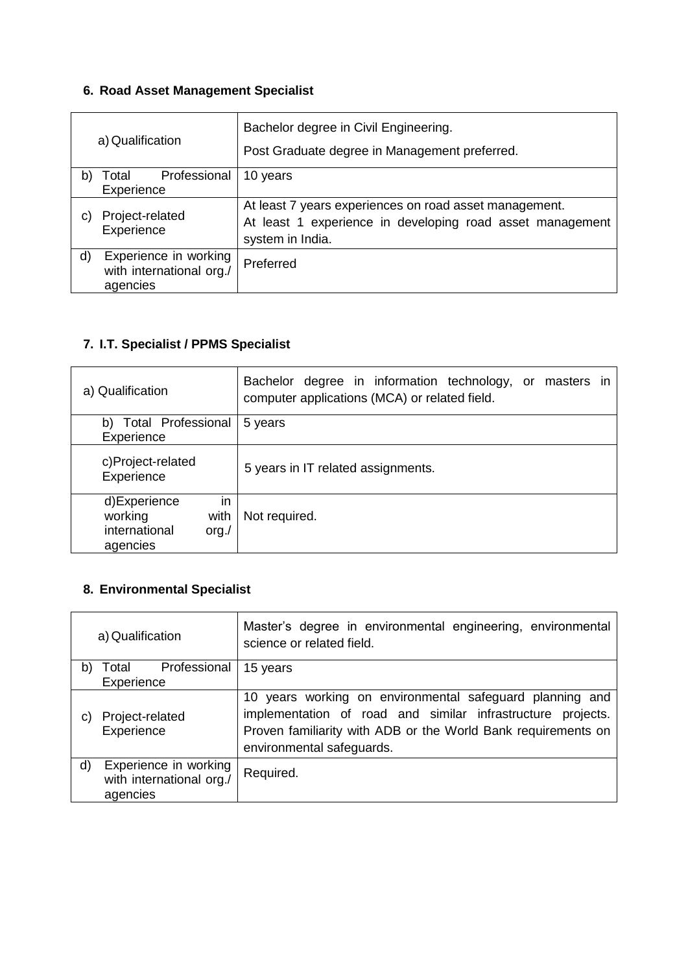# **6. Road Asset Management Specialist**

|    | a) Qualification                                              | Bachelor degree in Civil Engineering.<br>Post Graduate degree in Management preferred.                                                  |
|----|---------------------------------------------------------------|-----------------------------------------------------------------------------------------------------------------------------------------|
| b) | Professional<br>Total<br>Experience                           | 10 years                                                                                                                                |
| C) | Project-related<br>Experience                                 | At least 7 years experiences on road asset management.<br>At least 1 experience in developing road asset management<br>system in India. |
| d) | Experience in working<br>with international org./<br>agencies | Preferred                                                                                                                               |

# **7. I.T. Specialist / PPMS Specialist**

| a) Qualification                                                             | Bachelor degree in information technology, or masters in<br>computer applications (MCA) or related field. |
|------------------------------------------------------------------------------|-----------------------------------------------------------------------------------------------------------|
| <b>Total Professional</b><br>b)                                              | 5 years                                                                                                   |
| Experience                                                                   |                                                                                                           |
| c)Project-related<br>Experience                                              | 5 years in IT related assignments.                                                                        |
| d)Experience<br>in<br>with<br>working<br>international<br>org. /<br>agencies | Not required.                                                                                             |

# **8. Environmental Specialist**

| a) Qualification |                                                               | Master's degree in environmental engineering, environmental<br>science or related field.                                                                                                                              |
|------------------|---------------------------------------------------------------|-----------------------------------------------------------------------------------------------------------------------------------------------------------------------------------------------------------------------|
| b)               | Professional<br>Total                                         | 15 years                                                                                                                                                                                                              |
|                  | Experience                                                    |                                                                                                                                                                                                                       |
| C)               | Project-related<br>Experience                                 | 10 years working on environmental safeguard planning and<br>implementation of road and similar infrastructure projects.<br>Proven familiarity with ADB or the World Bank requirements on<br>environmental safeguards. |
| d)               | Experience in working<br>with international org./<br>agencies | Required.                                                                                                                                                                                                             |